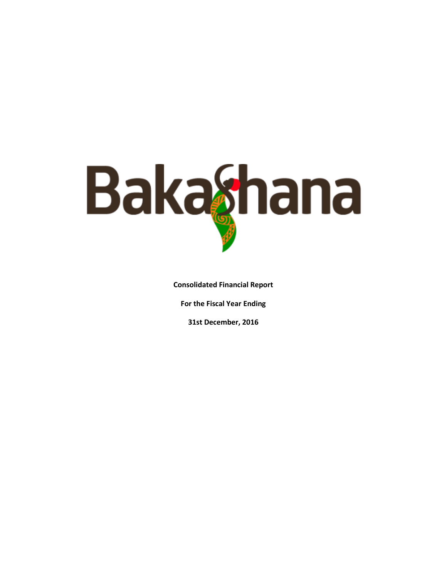

**Consolidated Financial Report** 

**For the Fiscal Year Ending** 

**31st December, 2016**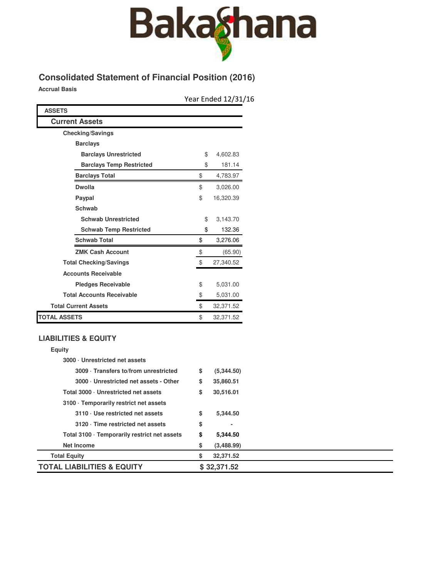

# **Consolidated Statement of Financial Position (2016)**

**Accrual Basis**

Year Ended 12/31/16

| <b>ASSETS</b>                    |                 |
|----------------------------------|-----------------|
| <b>Current Assets</b>            |                 |
| <b>Checking/Savings</b>          |                 |
| <b>Barclays</b>                  |                 |
| <b>Barclays Unrestricted</b>     | \$<br>4,602.83  |
| <b>Barclays Temp Restricted</b>  | \$<br>181.14    |
| <b>Barclays Total</b>            | \$<br>4,783.97  |
| Dwolla                           | \$<br>3,026.00  |
| Paypal                           | \$<br>16,320.39 |
| <b>Schwab</b>                    |                 |
| <b>Schwab Unrestricted</b>       | \$<br>3,143.70  |
| <b>Schwab Temp Restricted</b>    | \$<br>132.36    |
| <b>Schwab Total</b>              | \$<br>3,276.06  |
| <b>ZMK Cash Account</b>          | \$<br>(65.90)   |
| <b>Total Checking/Savings</b>    | \$<br>27,340.52 |
| <b>Accounts Receivable</b>       |                 |
| <b>Pledges Receivable</b>        | \$<br>5,031.00  |
| <b>Total Accounts Receivable</b> | \$<br>5,031.00  |
| <b>Total Current Assets</b>      | \$<br>32,371.52 |
| TOTAL ASSETS                     | \$<br>32,371.52 |

### **LIABILITIES & EQUITY**

| <b>Equity</b>                                |                      |  |
|----------------------------------------------|----------------------|--|
| 3000 Unrestricted net assets                 |                      |  |
| 3009 · Transfers to/from unrestricted        | \$<br>(5,344.50)     |  |
| 3000 Unrestricted net assets - Other         | \$<br>35,860.51      |  |
| Total 3000 · Unrestricted net assets         | \$<br>30,516.01      |  |
| 3100 · Temporarily restrict net assets       |                      |  |
| 3110 · Use restricted net assets             | \$<br>5,344.50       |  |
| 3120 · Time restricted net assets            | \$<br>$\blacksquare$ |  |
| Total 3100 · Temporarily restrict net assets | \$<br>5,344.50       |  |
| <b>Net Income</b>                            | \$<br>(3,488.99)     |  |
| <b>Total Equity</b>                          | \$<br>32,371.52      |  |
| <b>TOTAL LIABILITIES &amp; EQUITY</b>        | \$32,371.52          |  |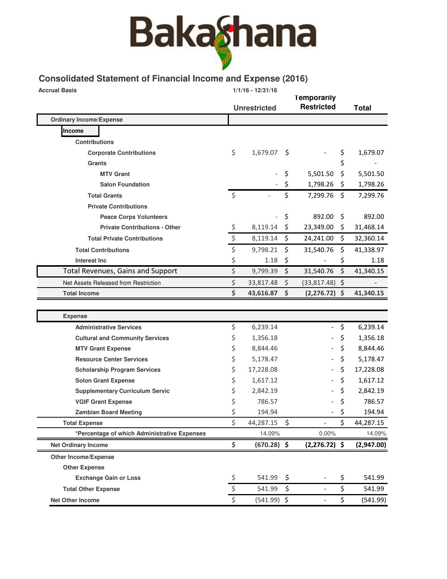# **Bakaghana**

# **Consolidated Statement of Financial Income and Expense (2016)**

| <b>Accrual Basis</b>           | $1/1/16 - 12/31/16$                          |                      |                     | <b>Temporarily</b> |                   |     |              |
|--------------------------------|----------------------------------------------|----------------------|---------------------|--------------------|-------------------|-----|--------------|
|                                |                                              |                      | <b>Unrestricted</b> |                    | <b>Restricted</b> |     | <b>Total</b> |
| <b>Ordinary Income/Expense</b> |                                              |                      |                     |                    |                   |     |              |
| Income                         |                                              |                      |                     |                    |                   |     |              |
| <b>Contributions</b>           |                                              |                      |                     |                    |                   |     |              |
|                                | <b>Corporate Contributions</b>               | \$                   | 1,679.07            | S                  |                   | \$  | 1,679.07     |
| Grants                         |                                              |                      |                     |                    |                   | \$  |              |
|                                | <b>MTV Grant</b>                             |                      |                     | \$                 | 5,501.50          | \$  | 5,501.50     |
|                                | <b>Salon Foundation</b>                      |                      |                     | \$                 | 1,798.26          | \$  | 1,798.26     |
|                                | <b>Total Grants</b>                          | Ś.                   |                     | \$                 | 7,299.76          | \$  | 7,299.76     |
|                                | <b>Private Contributions</b>                 |                      |                     |                    |                   |     |              |
|                                | <b>Peace Corps Volunteers</b>                |                      |                     | \$                 | 892.00            | \$  | 892.00       |
|                                | <b>Private Contributions - Other</b>         | \$                   | 8,119.14            | \$                 | 23,349.00         | \$. | 31,468.14    |
|                                | <b>Total Private Contributions</b>           | $\boldsymbol{\zeta}$ | 8,119.14            | \$                 | 24,241.00         | \$  | 32,360.14    |
|                                | <b>Total Contributions</b>                   | \$                   | 9,798.21            | \$                 | 31,540.76         | \$  | 41,338.97    |
| Interest Inc                   |                                              | \$                   | 1.18                | \$                 |                   | \$  | 1.18         |
|                                | <b>Total Revenues, Gains and Support</b>     | \$                   | 9,799.39            | \$                 | 31,540.76         | \$  | 41,340.15    |
|                                | Net Assets Released from Restriction         | \$                   | 33,817.48           | \$                 | $(33,817.48)$ \$  |     |              |
| <b>Total Income</b>            |                                              | \$                   | 43,616.87           | \$                 | $(2,276.72)$ \$   |     | 41,340.15    |
|                                |                                              |                      |                     |                    |                   |     |              |
| <b>Expense</b>                 |                                              |                      |                     |                    |                   |     |              |
|                                | <b>Administrative Services</b>               | \$                   | 6,239.14            |                    |                   | \$  | 6,239.14     |
|                                | <b>Cultural and Community Services</b>       | \$                   | 1,356.18            |                    |                   | \$  | 1,356.18     |
|                                | <b>MTV Grant Expense</b>                     | \$                   | 8,844.46            |                    |                   | \$  | 8,844.46     |
|                                | <b>Resource Center Services</b>              | \$                   | 5,178.47            |                    |                   | \$  | 5,178.47     |
|                                | <b>Scholarship Program Services</b>          | \$                   | 17,228.08           |                    |                   | \$  | 17,228.08    |
|                                | <b>Solon Grant Expense</b>                   | \$                   | 1,617.12            |                    |                   | \$  | 1,617.12     |
|                                | <b>Supplementary Curriculum Servic</b>       | \$                   | 2,842.19            |                    |                   | \$  | 2,842.19     |
|                                | <b>VGIF Grant Expense</b>                    | \$                   | 786.57              |                    |                   | \$  | 786.57       |
|                                | <b>Zambian Board Meeting</b>                 | \$                   | 194.94              |                    |                   | \$  | 194.94       |
| <b>Total Expense</b>           |                                              | \$                   | 44,287.15           | \$                 |                   | \$  | 44,287.15    |
|                                | *Percentage of which Administrative Expenses |                      | 14.09%              |                    | 0.00%             |     | 14.09%       |
| <b>Net Ordinary Income</b>     |                                              | \$                   | $(670.28)$ \$       |                    | $(2,276.72)$ \$   |     | (2,947.00)   |
| <b>Other Income/Expense</b>    |                                              |                      |                     |                    |                   |     |              |
| <b>Other Expense</b>           |                                              |                      |                     |                    |                   |     |              |
|                                | <b>Exchange Gain or Loss</b>                 | \$                   | 541.99              | \$                 |                   | \$  | 541.99       |
| <b>Total Other Expense</b>     |                                              | \$                   | 541.99              | \$                 |                   | \$  | 541.99       |
| Net Other Income               |                                              | Ś                    | $(541.99)$ \$       |                    |                   | \$  | (541.99)     |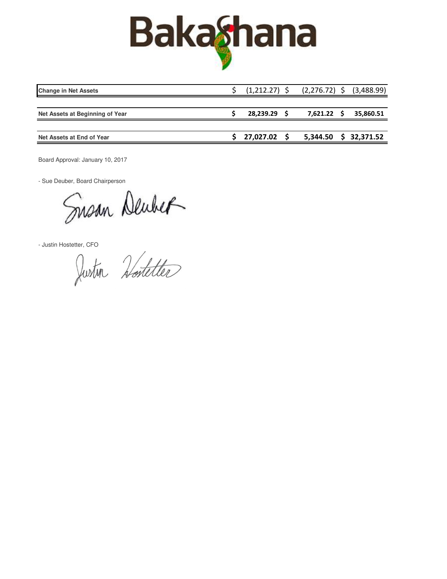

| 28,239.29      | 35,860.51                                                   |
|----------------|-------------------------------------------------------------|
|                |                                                             |
| $27,027.02$ \$ | 5,344.50 \$ 32,371.52                                       |
|                | $(1,212.27)$ \$ $(2,276.72)$ \$ $(3,488.99)$<br>7,621.22 \$ |

Board Approval: January 10, 2017

- Sue Deuber, Board Chairperson

Susan Deuber

- Justin Hostetter, CFO

Justin Hostetter